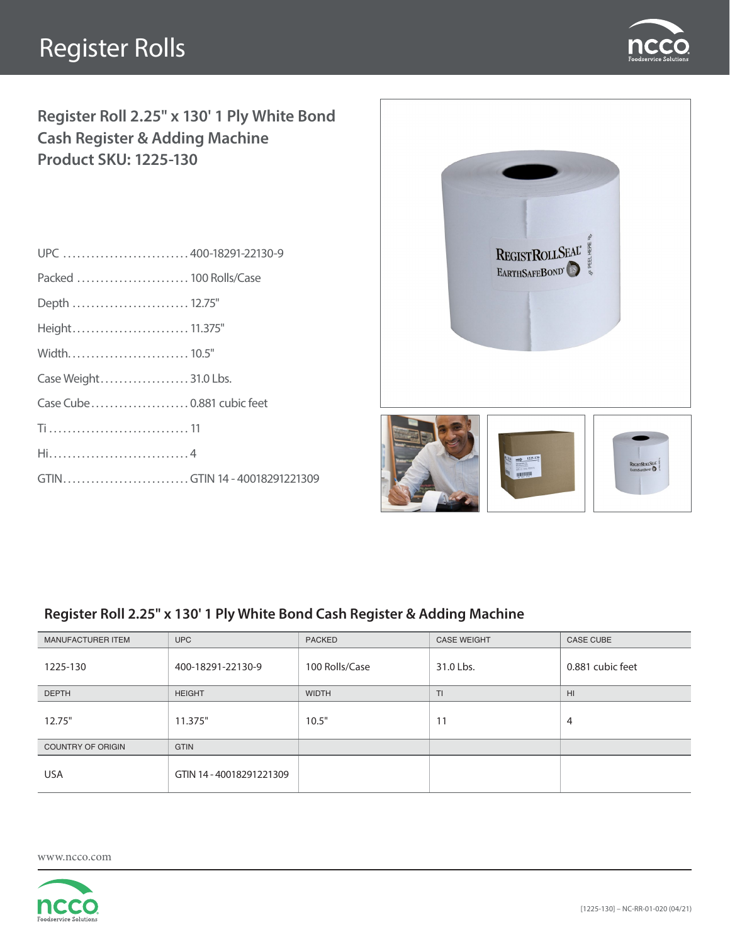# Register Rolls



**Register Roll 2.25" x 130' 1 Ply White Bond Cash Register & Adding Machine Product SKU: 1225-130**

| UPC  400-18291-22130-9       |  |
|------------------------------|--|
| Packed  100 Rolls/Case       |  |
| Depth  12.75"                |  |
| Height 11.375"               |  |
|                              |  |
| Case Weight 31.0 Lbs.        |  |
| Case Cube0.881 cubic feet    |  |
|                              |  |
|                              |  |
| GTINGTIN 14 - 40018291221309 |  |
|                              |  |



### **Register Roll 2.25" x 130' 1 Ply White Bond Cash Register & Adding Machine**

| MANUFACTURER ITEM        | <b>UPC</b>               | <b>PACKED</b>  | <b>CASE WEIGHT</b> | <b>CASE CUBE</b> |
|--------------------------|--------------------------|----------------|--------------------|------------------|
| 1225-130                 | 400-18291-22130-9        | 100 Rolls/Case | 31.0 Lbs.          | 0.881 cubic feet |
| <b>DEPTH</b>             | <b>HEIGHT</b>            | <b>WIDTH</b>   | TI.                | H <sub>II</sub>  |
| 12.75"                   | 11.375"                  | 10.5"          | 11                 | $\overline{4}$   |
| <b>COUNTRY OF ORIGIN</b> | <b>GTIN</b>              |                |                    |                  |
| <b>USA</b>               | GTIN 14 - 40018291221309 |                |                    |                  |

www.ncco.com

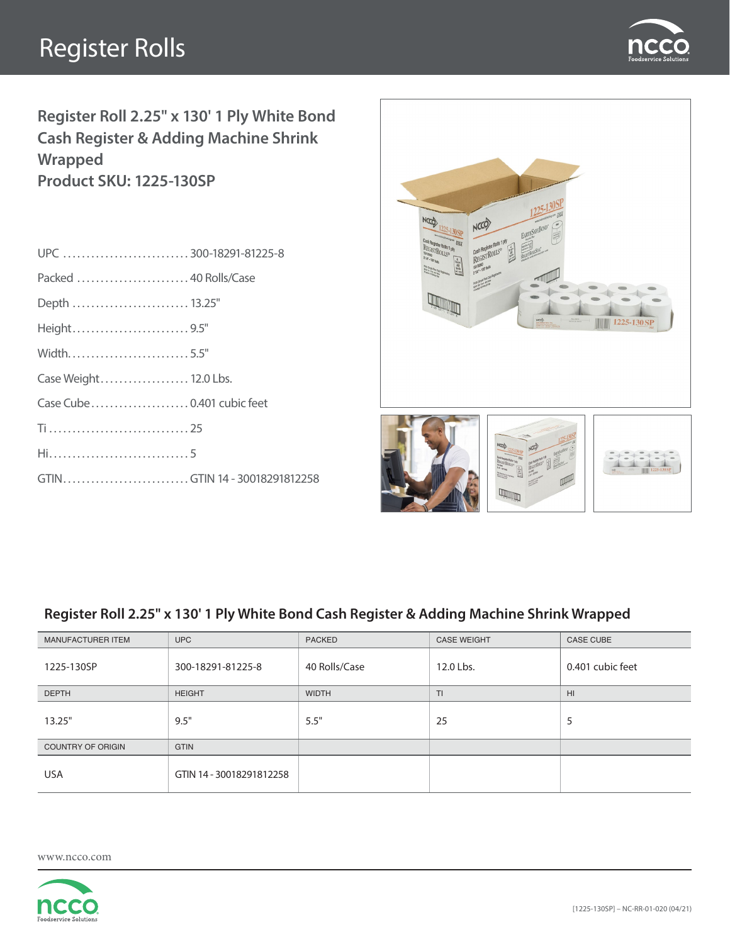# Register Rolls



**Register Roll 2.25" x 130' 1 Ply White Bond Cash Register & Adding Machine Shrink Wrapped Product SKU: 1225-130SP**

| UPC 300-18291-81225-8        |  |
|------------------------------|--|
| Packed  40 Rolls/Case        |  |
| Depth  13.25"                |  |
| Height9.5"                   |  |
| Width5.5"                    |  |
| Case Weight 12.0 Lbs.        |  |
|                              |  |
|                              |  |
|                              |  |
| GTINGTIN 14 - 30018291812258 |  |
|                              |  |



#### **Register Roll 2.25" x 130' 1 Ply White Bond Cash Register & Adding Machine Shrink Wrapped**

| MANUFACTURER ITEM        | <b>UPC</b>               | <b>PACKED</b> | <b>CASE WEIGHT</b> | <b>CASE CUBE</b> |
|--------------------------|--------------------------|---------------|--------------------|------------------|
| 1225-130SP               | 300-18291-81225-8        | 40 Rolls/Case | 12.0 Lbs.          | 0.401 cubic feet |
| <b>DEPTH</b>             | <b>HEIGHT</b>            | <b>WIDTH</b>  | T <sub>1</sub>     | H <sub>II</sub>  |
| 13.25"                   | 9.5"                     | 5.5"          | 25                 | 5                |
| <b>COUNTRY OF ORIGIN</b> | <b>GTIN</b>              |               |                    |                  |
| <b>USA</b>               | GTIN 14 - 30018291812258 |               |                    |                  |

www.ncco.com